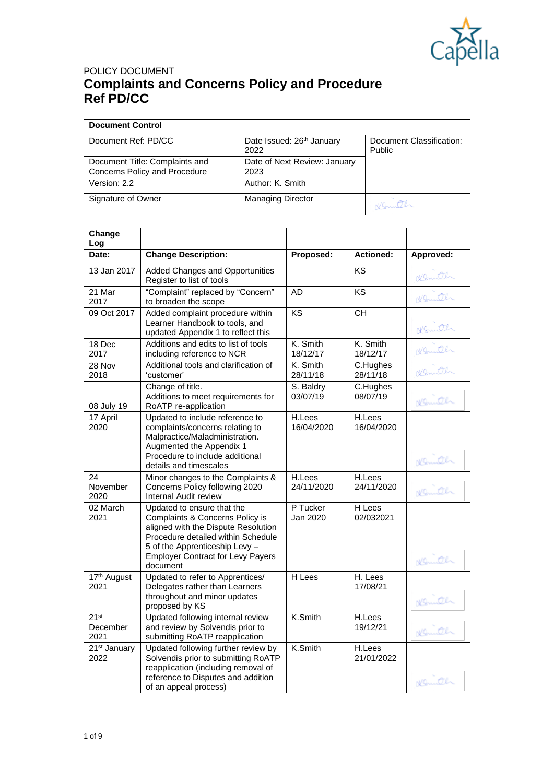

| <b>Document Control</b>                                         |                                      |                                    |
|-----------------------------------------------------------------|--------------------------------------|------------------------------------|
| Document Ref: PD/CC                                             | Date Issued: 26th January<br>2022    | Document Classification:<br>Public |
| Document Title: Complaints and<br>Concerns Policy and Procedure | Date of Next Review: January<br>2023 |                                    |
| Version: 2.2                                                    | Author: K. Smith                     |                                    |
| Signature of Owner                                              | <b>Managing Director</b>             | NSmith                             |

| Change<br>Log                        |                                                                                                                                                                                                                                      |                       |                      |           |
|--------------------------------------|--------------------------------------------------------------------------------------------------------------------------------------------------------------------------------------------------------------------------------------|-----------------------|----------------------|-----------|
| Date:                                | <b>Change Description:</b>                                                                                                                                                                                                           | Proposed:             | <b>Actioned:</b>     | Approved: |
| 13 Jan 2017                          | Added Changes and Opportunities<br>Register to list of tools                                                                                                                                                                         |                       | ΚS                   | Konutch   |
| 21 Mar<br>2017                       | "Complaint" replaced by "Concern"<br>to broaden the scope                                                                                                                                                                            | <b>AD</b>             | KS                   | Komth     |
| 09 Oct 2017                          | Added complaint procedure within<br>Learner Handbook to tools, and<br>updated Appendix 1 to reflect this                                                                                                                             | KS                    | CH                   | Komith    |
| 18 Dec<br>2017                       | Additions and edits to list of tools<br>including reference to NCR                                                                                                                                                                   | K. Smith<br>18/12/17  | K. Smith<br>18/12/17 | Komth     |
| 28 Nov<br>2018                       | Additional tools and clarification of<br>'customer'                                                                                                                                                                                  | K. Smith<br>28/11/18  | C.Hughes<br>28/11/18 | Komith    |
| 08 July 19                           | Change of title.<br>Additions to meet requirements for<br>RoATP re-application                                                                                                                                                       | S. Baldry<br>03/07/19 | C.Hughes<br>08/07/19 | Nemiter   |
| 17 April<br>2020                     | Updated to include reference to<br>complaints/concerns relating to<br>Malpractice/Maladministration.<br>Augmented the Appendix 1<br>Procedure to include additional<br>details and timescales                                        | H.Lees<br>16/04/2020  | H.Lees<br>16/04/2020 | Nemith    |
| 24<br>November<br>2020               | Minor changes to the Complaints &<br>Concerns Policy following 2020<br>Internal Audit review                                                                                                                                         | H.Lees<br>24/11/2020  | H.Lees<br>24/11/2020 | Nemiter   |
| 02 March<br>2021                     | Updated to ensure that the<br>Complaints & Concerns Policy is<br>aligned with the Dispute Resolution<br>Procedure detailed within Schedule<br>5 of the Apprenticeship Levy -<br><b>Employer Contract for Levy Payers</b><br>document | P Tucker<br>Jan 2020  | H Lees<br>02/032021  | Nemith    |
| 17 <sup>th</sup> August<br>2021      | Updated to refer to Apprentices/<br>Delegates rather than Learners<br>throughout and minor updates<br>proposed by KS                                                                                                                 | H Lees                | H. Lees<br>17/08/21  | Nemiter   |
| 21 <sup>st</sup><br>December<br>2021 | Updated following internal review<br>and review by Solvendis prior to<br>submitting RoATP reapplication                                                                                                                              | K.Smith               | H.Lees<br>19/12/21   | Nemiter   |
| 21 <sup>st</sup> January<br>2022     | Updated following further review by<br>Solvendis prior to submitting RoATP<br>reapplication (including removal of<br>reference to Disputes and addition<br>of an appeal process)                                                     | K.Smith               | H.Lees<br>21/01/2022 | Nemith    |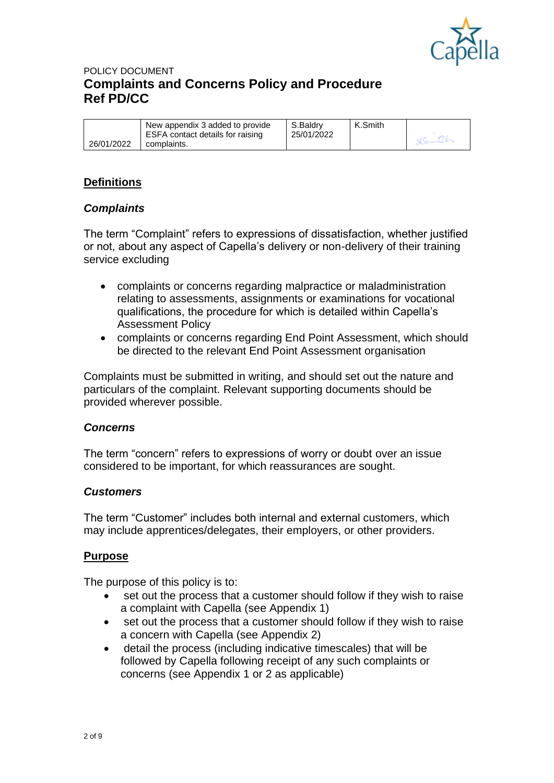

|            | New appendix 3 added to provide<br>ESFA contact details for raising | S.Baldrv<br>25/01/2022 | K.Smith |  |
|------------|---------------------------------------------------------------------|------------------------|---------|--|
| 26/01/2022 | complaints.                                                         |                        |         |  |

## **Definitions**

### *Complaints*

The term "Complaint" refers to expressions of dissatisfaction, whether justified or not, about any aspect of Capella's delivery or non-delivery of their training service excluding

- complaints or concerns regarding malpractice or maladministration relating to assessments, assignments or examinations for vocational qualifications, the procedure for which is detailed within Capella's Assessment Policy
- complaints or concerns regarding End Point Assessment, which should be directed to the relevant End Point Assessment organisation

Complaints must be submitted in writing, and should set out the nature and particulars of the complaint. Relevant supporting documents should be provided wherever possible.

#### *Concerns*

The term "concern" refers to expressions of worry or doubt over an issue considered to be important, for which reassurances are sought.

#### *Customers*

The term "Customer" includes both internal and external customers, which may include apprentices/delegates, their employers, or other providers.

#### **Purpose**

The purpose of this policy is to:

- set out the process that a customer should follow if they wish to raise a complaint with Capella (see Appendix 1)
- set out the process that a customer should follow if they wish to raise a concern with Capella (see Appendix 2)
- detail the process (including indicative timescales) that will be followed by Capella following receipt of any such complaints or concerns (see Appendix 1 or 2 as applicable)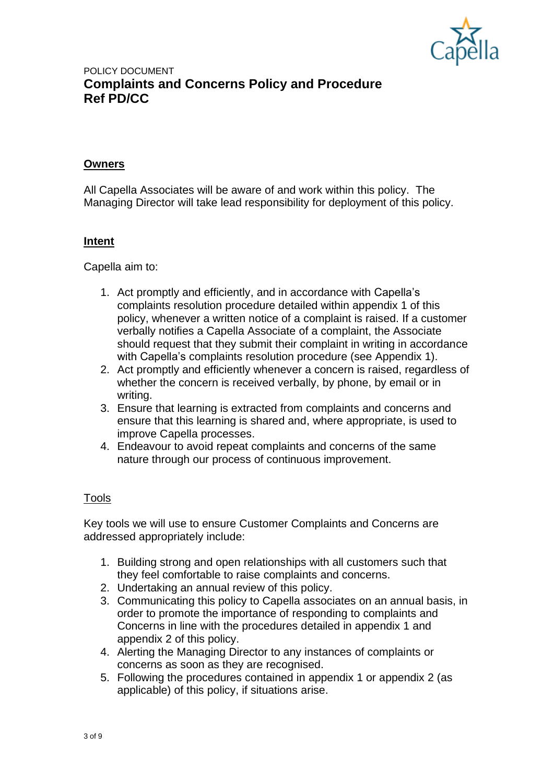

### **Owners**

All Capella Associates will be aware of and work within this policy. The Managing Director will take lead responsibility for deployment of this policy.

#### **Intent**

Capella aim to:

- 1. Act promptly and efficiently, and in accordance with Capella's complaints resolution procedure detailed within appendix 1 of this policy, whenever a written notice of a complaint is raised. If a customer verbally notifies a Capella Associate of a complaint, the Associate should request that they submit their complaint in writing in accordance with Capella's complaints resolution procedure (see Appendix 1).
- 2. Act promptly and efficiently whenever a concern is raised, regardless of whether the concern is received verbally, by phone, by email or in writing.
- 3. Ensure that learning is extracted from complaints and concerns and ensure that this learning is shared and, where appropriate, is used to improve Capella processes.
- 4. Endeavour to avoid repeat complaints and concerns of the same nature through our process of continuous improvement.

### Tools

Key tools we will use to ensure Customer Complaints and Concerns are addressed appropriately include:

- 1. Building strong and open relationships with all customers such that they feel comfortable to raise complaints and concerns.
- 2. Undertaking an annual review of this policy.
- 3. Communicating this policy to Capella associates on an annual basis, in order to promote the importance of responding to complaints and Concerns in line with the procedures detailed in appendix 1 and appendix 2 of this policy.
- 4. Alerting the Managing Director to any instances of complaints or concerns as soon as they are recognised.
- 5. Following the procedures contained in appendix 1 or appendix 2 (as applicable) of this policy, if situations arise.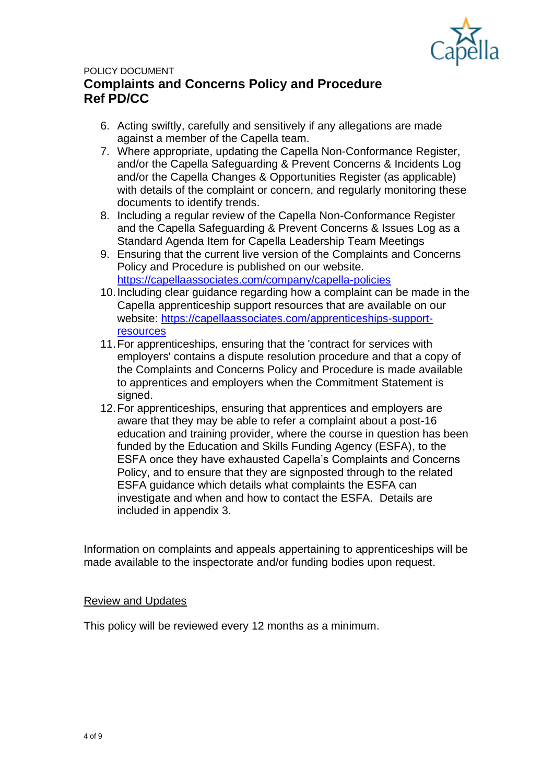

- 6. Acting swiftly, carefully and sensitively if any allegations are made against a member of the Capella team.
- 7. Where appropriate, updating the Capella Non-Conformance Register, and/or the Capella Safeguarding & Prevent Concerns & Incidents Log and/or the Capella Changes & Opportunities Register (as applicable) with details of the complaint or concern, and regularly monitoring these documents to identify trends.
- 8. Including a regular review of the Capella Non-Conformance Register and the Capella Safeguarding & Prevent Concerns & Issues Log as a Standard Agenda Item for Capella Leadership Team Meetings
- 9. Ensuring that the current live version of the Complaints and Concerns Policy and Procedure is published on our website. <https://capellaassociates.com/company/capella-policies>
- 10.Including clear guidance regarding how a complaint can be made in the Capella apprenticeship support resources that are available on our website: [https://capellaassociates.com/apprenticeships-support](https://capellaassociates.com/apprenticeships-support-resources)[resources](https://capellaassociates.com/apprenticeships-support-resources)
- 11.For apprenticeships, ensuring that the 'contract for services with employers' contains a dispute resolution procedure and that a copy of the Complaints and Concerns Policy and Procedure is made available to apprentices and employers when the Commitment Statement is signed.
- 12.For apprenticeships, ensuring that apprentices and employers are aware that they may be able to refer a complaint about a post-16 education and training provider, where the course in question has been funded by the Education and Skills Funding Agency (ESFA), to the ESFA once they have exhausted Capella's Complaints and Concerns Policy, and to ensure that they are signposted through to the related ESFA guidance which details what complaints the ESFA can investigate and when and how to contact the ESFA. Details are included in appendix 3.

Information on complaints and appeals appertaining to apprenticeships will be made available to the inspectorate and/or funding bodies upon request.

### Review and Updates

This policy will be reviewed every 12 months as a minimum.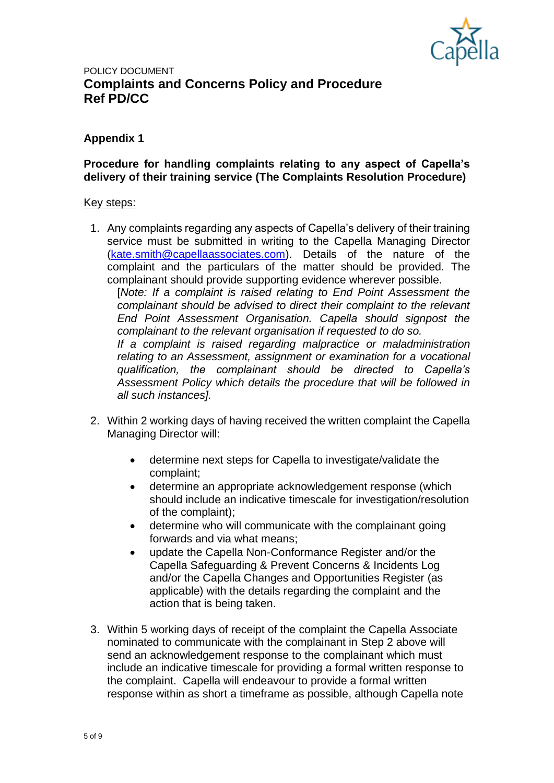

### **Appendix 1**

#### **Procedure for handling complaints relating to any aspect of Capella's delivery of their training service (The Complaints Resolution Procedure)**

#### Key steps:

1. Any complaints regarding any aspects of Capella's delivery of their training service must be submitted in writing to the Capella Managing Director [\(kate.smith@capellaassociates.com\)](mailto:kate.smith@capellaassociates.com). Details of the nature of the complaint and the particulars of the matter should be provided. The complainant should provide supporting evidence wherever possible.

[*Note: If a complaint is raised relating to End Point Assessment the complainant should be advised to direct their complaint to the relevant End Point Assessment Organisation. Capella should signpost the complainant to the relevant organisation if requested to do so.* 

*If a complaint is raised regarding malpractice or maladministration relating to an Assessment, assignment or examination for a vocational qualification, the complainant should be directed to Capella's Assessment Policy which details the procedure that will be followed in all such instances].*

- 2. Within 2 working days of having received the written complaint the Capella Managing Director will:
	- determine next steps for Capella to investigate/validate the complaint;
	- determine an appropriate acknowledgement response (which should include an indicative timescale for investigation/resolution of the complaint);
	- determine who will communicate with the complainant going forwards and via what means;
	- update the Capella Non-Conformance Register and/or the Capella Safeguarding & Prevent Concerns & Incidents Log and/or the Capella Changes and Opportunities Register (as applicable) with the details regarding the complaint and the action that is being taken.
- 3. Within 5 working days of receipt of the complaint the Capella Associate nominated to communicate with the complainant in Step 2 above will send an acknowledgement response to the complainant which must include an indicative timescale for providing a formal written response to the complaint. Capella will endeavour to provide a formal written response within as short a timeframe as possible, although Capella note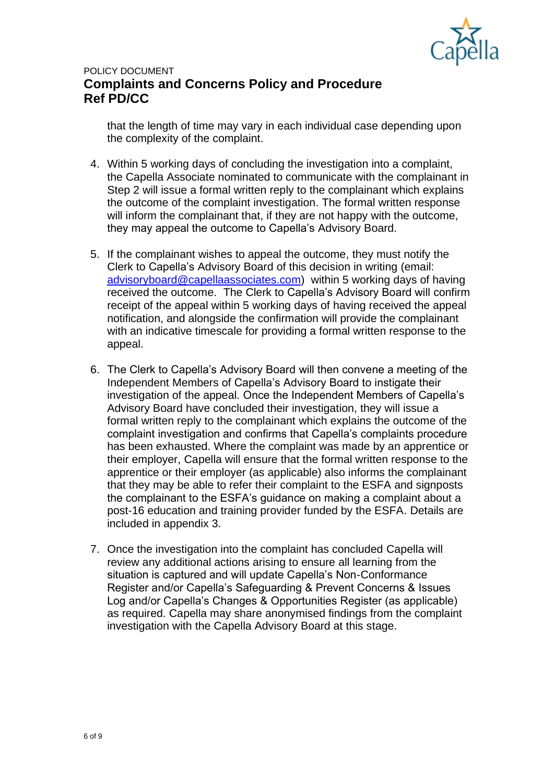

that the length of time may vary in each individual case depending upon the complexity of the complaint.

- 4. Within 5 working days of concluding the investigation into a complaint, the Capella Associate nominated to communicate with the complainant in Step 2 will issue a formal written reply to the complainant which explains the outcome of the complaint investigation. The formal written response will inform the complainant that, if they are not happy with the outcome, they may appeal the outcome to Capella's Advisory Board.
- 5. If the complainant wishes to appeal the outcome, they must notify the Clerk to Capella's Advisory Board of this decision in writing (email: [advisoryboard@capellaassociates.com\)](mailto:advisoryboard@capellaassociates.com) within 5 working days of having received the outcome. The Clerk to Capella's Advisory Board will confirm receipt of the appeal within 5 working days of having received the appeal notification, and alongside the confirmation will provide the complainant with an indicative timescale for providing a formal written response to the appeal.
- 6. The Clerk to Capella's Advisory Board will then convene a meeting of the Independent Members of Capella's Advisory Board to instigate their investigation of the appeal. Once the Independent Members of Capella's Advisory Board have concluded their investigation, they will issue a formal written reply to the complainant which explains the outcome of the complaint investigation and confirms that Capella's complaints procedure has been exhausted. Where the complaint was made by an apprentice or their employer, Capella will ensure that the formal written response to the apprentice or their employer (as applicable) also informs the complainant that they may be able to refer their complaint to the ESFA and signposts the complainant to the ESFA's guidance on making a complaint about a post-16 education and training provider funded by the ESFA. Details are included in appendix 3.
- 7. Once the investigation into the complaint has concluded Capella will review any additional actions arising to ensure all learning from the situation is captured and will update Capella's Non-Conformance Register and/or Capella's Safeguarding & Prevent Concerns & Issues Log and/or Capella's Changes & Opportunities Register (as applicable) as required. Capella may share anonymised findings from the complaint investigation with the Capella Advisory Board at this stage.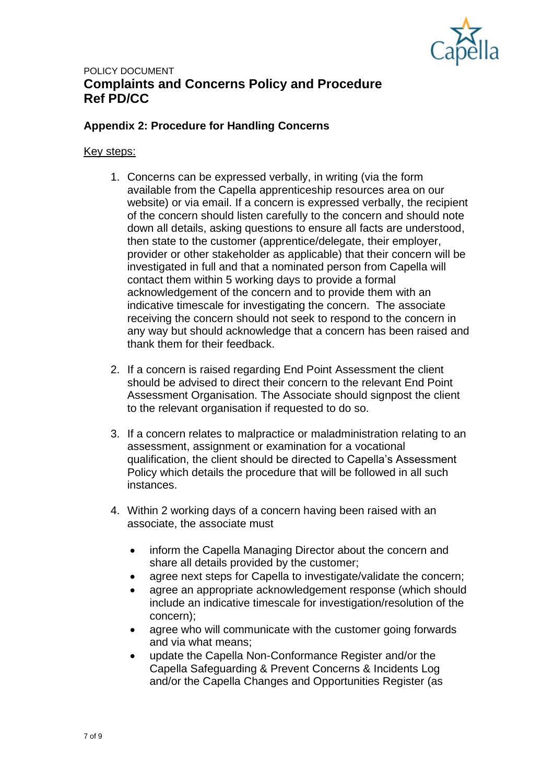

### **Appendix 2: Procedure for Handling Concerns**

#### Key steps:

- 1. Concerns can be expressed verbally, in writing (via the form available from the Capella apprenticeship resources area on our website) or via email. If a concern is expressed verbally, the recipient of the concern should listen carefully to the concern and should note down all details, asking questions to ensure all facts are understood, then state to the customer (apprentice/delegate, their employer, provider or other stakeholder as applicable) that their concern will be investigated in full and that a nominated person from Capella will contact them within 5 working days to provide a formal acknowledgement of the concern and to provide them with an indicative timescale for investigating the concern. The associate receiving the concern should not seek to respond to the concern in any way but should acknowledge that a concern has been raised and thank them for their feedback.
- 2. If a concern is raised regarding End Point Assessment the client should be advised to direct their concern to the relevant End Point Assessment Organisation. The Associate should signpost the client to the relevant organisation if requested to do so.
- 3. If a concern relates to malpractice or maladministration relating to an assessment, assignment or examination for a vocational qualification, the client should be directed to Capella's Assessment Policy which details the procedure that will be followed in all such instances.
- 4. Within 2 working days of a concern having been raised with an associate, the associate must
	- inform the Capella Managing Director about the concern and share all details provided by the customer;
	- agree next steps for Capella to investigate/validate the concern;
	- agree an appropriate acknowledgement response (which should include an indicative timescale for investigation/resolution of the concern);
	- agree who will communicate with the customer going forwards and via what means;
	- update the Capella Non-Conformance Register and/or the Capella Safeguarding & Prevent Concerns & Incidents Log and/or the Capella Changes and Opportunities Register (as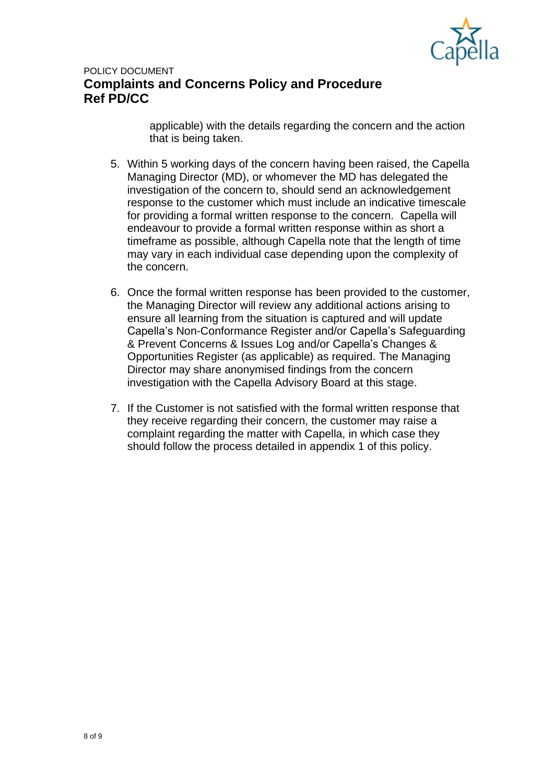

applicable) with the details regarding the concern and the action that is being taken.

- 5. Within 5 working days of the concern having been raised, the Capella Managing Director (MD), or whomever the MD has delegated the investigation of the concern to, should send an acknowledgement response to the customer which must include an indicative timescale for providing a formal written response to the concern. Capella will endeavour to provide a formal written response within as short a timeframe as possible, although Capella note that the length of time may vary in each individual case depending upon the complexity of the concern.
- 6. Once the formal written response has been provided to the customer, the Managing Director will review any additional actions arising to ensure all learning from the situation is captured and will update Capella's Non-Conformance Register and/or Capella's Safeguarding & Prevent Concerns & Issues Log and/or Capella's Changes & Opportunities Register (as applicable) as required. The Managing Director may share anonymised findings from the concern investigation with the Capella Advisory Board at this stage.
- 7. If the Customer is not satisfied with the formal written response that they receive regarding their concern, the customer may raise a complaint regarding the matter with Capella, in which case they should follow the process detailed in appendix 1 of this policy.